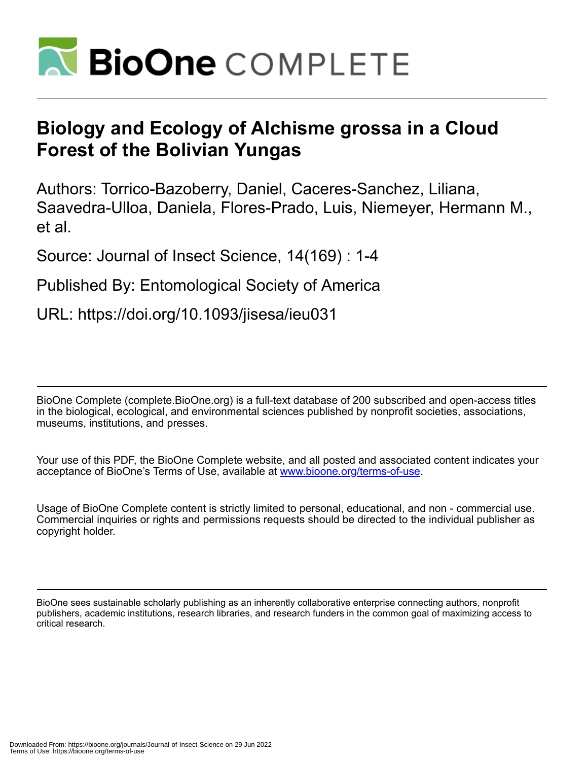

# **Biology and Ecology of Alchisme grossa in a Cloud Forest of the Bolivian Yungas**

Authors: Torrico-Bazoberry, Daniel, Caceres-Sanchez, Liliana, Saavedra-Ulloa, Daniela, Flores-Prado, Luis, Niemeyer, Hermann M., et al.

Source: Journal of Insect Science, 14(169) : 1-4

### Published By: Entomological Society of America

## URL: https://doi.org/10.1093/jisesa/ieu031

BioOne Complete (complete.BioOne.org) is a full-text database of 200 subscribed and open-access titles in the biological, ecological, and environmental sciences published by nonprofit societies, associations, museums, institutions, and presses.

Your use of this PDF, the BioOne Complete website, and all posted and associated content indicates your acceptance of BioOne's Terms of Use, available at www.bioone.org/terms-of-use.

Usage of BioOne Complete content is strictly limited to personal, educational, and non - commercial use. Commercial inquiries or rights and permissions requests should be directed to the individual publisher as copyright holder.

BioOne sees sustainable scholarly publishing as an inherently collaborative enterprise connecting authors, nonprofit publishers, academic institutions, research libraries, and research funders in the common goal of maximizing access to critical research.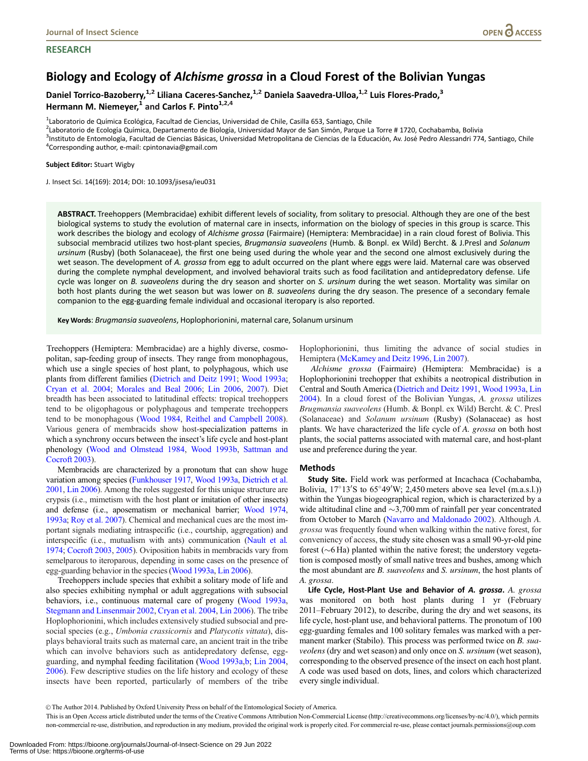#### **RESEARCH**

### Biology and Ecology of Alchisme grossa in a Cloud Forest of the Bolivian Yungas

Daniel Torrico-Bazoberry,<sup>1,2</sup> Liliana Caceres-Sanchez,<sup>1,2</sup> Daniela Saavedra-Ulloa,<sup>1,2</sup> Luis Flores-Prado,<sup>3</sup> Hermann M. Niemeyer,<sup>1</sup> and Carlos F. Pinto<sup>1,2,4</sup>

<sup>1</sup>Laboratorio de Química Ecológica, Facultad de Ciencias, Universidad de Chile, Casilla 653, Santiago, Chile<br><sup>2</sup>Laboratorio de Ecología Química, Departamento de Biología, Universidad Mayor de San Simón, Parque L

<sup>2</sup>Laboratorio de Ecología Química, Departamento de Biología, Universidad Mayor de San Simón, Parque La Torre # 1720, Cochabamba, Bolivia

<sup>3</sup>Instituto de Entomología, Facultad de Ciencias Básicas, Universidad Metropolitana de Ciencias de la Educación, Av. José Pedro Alessandri 774, Santiago, Chile  ${}^{4}$ Corresponding author, e-mail: cpintonavia@gmail.com

#### Subject Editor: Stuart Wigby

J. Insect Sci. 14(169): 2014; DOI: 10.1093/jisesa/ieu031

ABSTRACT. Treehoppers (Membracidae) exhibit different levels of sociality, from solitary to presocial. Although they are one of the best biological systems to study the evolution of maternal care in insects, information on the biology of species in this group is scarce. This work describes the biology and ecology of Alchisme grossa (Fairmaire) (Hemiptera: Membracidae) in a rain cloud forest of Bolivia. This subsocial membracid utilizes two host-plant species, Brugmansia suaveolens (Humb. & Bonpl. ex Wild) Bercht. & J.Presl and Solanum ursinum (Rusby) (both Solanaceae), the first one being used during the whole year and the second one almost exclusively during the wet season. The development of A. grossa from egg to adult occurred on the plant where eggs were laid. Maternal care was observed during the complete nymphal development, and involved behavioral traits such as food facilitation and antidepredatory defense. Life cycle was longer on B. suaveolens during the dry season and shorter on S. ursinum during the wet season. Mortality was similar on both host plants during the wet season but was lower on B. suaveolens during the dry season. The presence of a secondary female companion to the egg-guarding female individual and occasional iteropary is also reported.

Key Words: Brugmansia suaveolens, Hoplophorionini, maternal care, Solanum ursinum

Treehoppers (Hemiptera: Membracidae) are a highly diverse, cosmopolitan, sap-feeding group of insects. They range from monophagous, which use a single species of host plant, to polyphagous, which use plants from different families [\(Dietrich and Deitz 1991;](#page-4-0) [Wood 1993a;](#page-4-0) [Cryan et al. 2004](#page-4-0); [Morales and Beal 2006](#page-4-0); [Lin 2006](#page-4-0), [2007](#page-4-0)). Diet breadth has been associated to latitudinal effects: tropical treehoppers tend to be oligophagous or polyphagous and temperate treehoppers tend to be monophagous [\(Wood 1984,](#page-4-0) [Reithel and Campbell 2008\)](#page-4-0). Various genera of membracids show host-specialization patterns in which a synchrony occurs between the insect's life cycle and host-plant phenology [\(Wood and Olmstead 1984](#page-4-0), [Wood 1993b](#page-4-0), [Sattman and](#page-4-0) [Cocroft 2003\)](#page-4-0).

Membracids are characterized by a pronotum that can show huge variation among species [\(Funkhouser 1917,](#page-4-0) [Wood 1993a,](#page-4-0) [Dietrich et al.](#page-4-0) [2001,](#page-4-0) [Lin 2006\)](#page-4-0). Among the roles suggested for this unique structure are crypsis (i.e., mimetism with the host plant or imitation of other insects) and defense (i.e., aposematism or mechanical barrier; [Wood 1974,](#page-4-0) [1993a](#page-4-0); [Roy et al. 2007](#page-4-0)). Chemical and mechanical cues are the most important signals mediating intraspecific (i.e., courtship, aggregation) and interspecific (i.e., mutualism with ants) communication [\(Nault et al](#page-4-0). [1974;](#page-4-0) [Cocroft 2003](#page-4-0), [2005](#page-4-0)). Oviposition habits in membracids vary from semelparous to iteroparous, depending in some cases on the presence of egg-guarding behavior in the species ([Wood 1993a,](#page-4-0) [Lin 2006](#page-4-0)).

Treehoppers include species that exhibit a solitary mode of life and also species exhibiting nymphal or adult aggregations with subsocial behaviors, i.e., continuous maternal care of progeny ([Wood 1993a,](#page-4-0) [Stegmann and Linsenmair 2002,](#page-4-0) [Cryan et al. 2004,](#page-4-0) [Lin 2006](#page-4-0)). The tribe Hoplophorionini, which includes extensively studied subsocial and presocial species (e.g., Umbonia crassicornis and Platycotis vittata), displays behavioral traits such as maternal care, an ancient trait in the tribe which can involve behaviors such as antidepredatory defense, eggguarding, and nymphal feeding facilitation [\(Wood 1993a,b;](#page-4-0) [Lin 2004,](#page-4-0) [2006\)](#page-4-0). Few descriptive studies on the life history and ecology of these insects have been reported, particularly of members of the tribe

Hoplophorionini, thus limiting the advance of social studies in Hemiptera [\(McKamey and Deitz 1996](#page-4-0), [Lin 2007\)](#page-4-0).

Alchisme grossa (Fairmaire) (Hemiptera: Membracidae) is a Hoplophorionini treehopper that exhibits a neotropical distribution in Central and South America [\(Dietrich and Deitz 1991](#page-4-0), [Wood 1993a](#page-4-0), [Lin](#page-4-0) [2004](#page-4-0)). In a cloud forest of the Bolivian Yungas, A. grossa utilizes Brugmansia suaveolens (Humb. & Bonpl. ex Wild) Bercht. & C. Presl (Solanaceae) and Solanum ursinum (Rusby) (Solanaceae) as host plants. We have characterized the life cycle of A. grossa on both host plants, the social patterns associated with maternal care, and host-plant use and preference during the year.

#### Methods

Study Site. Field work was performed at Incachaca (Cochabamba, Bolivia,  $17^{\circ}13'$ S to  $65^{\circ}49'$ W; 2,450 meters above sea level (m.a.s.l.)) within the Yungas biogeographical region, which is characterized by a wide altitudinal cline and  $\sim$ 3,700 mm of rainfall per year concentrated from October to March [\(Navarro and Maldonado 2002\)](#page-4-0). Although A. grossa was frequently found when walking within the native forest, for conveniency of access, the study site chosen was a small 90-yr-old pine forest  $(\sim 6$  Ha) planted within the native forest; the understory vegetation is composed mostly of small native trees and bushes, among which the most abundant are B. suaveolens and S. ursinum, the host plants of A. grossa.

Life Cycle, Host-Plant Use and Behavior of A. grossa. A. grossa was monitored on both host plants during 1 yr (February 2011–February 2012), to describe, during the dry and wet seasons, its life cycle, host-plant use, and behavioral patterns. The pronotum of 100 egg-guarding females and 100 solitary females was marked with a permanent marker (Stabilo). This process was performed twice on *B. sua*veolens (dry and wet season) and only once on S. ursinum (wet season), corresponding to the observed presence of the insect on each host plant. A code was used based on dots, lines, and colors which characterized every single individual.

V<sup>C</sup> The Author 2014. Published by Oxford University Press on behalf of the Entomological Society of America.

This is an Open Access article distributed under the terms of the Creative Commons Attribution Non-Commercial License (http://creativecommons.org/licenses/by-nc/4.0/), which permits non-commercial re-use, distribution, and reproduction in any medium, provided the original work is properly cited. For commercial re-use, please contact journals.permissions@oup.com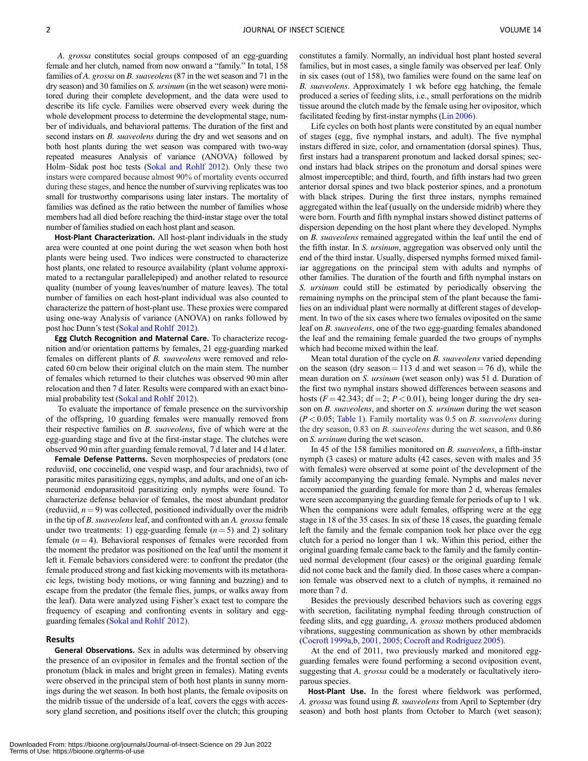A. grossa constitutes social groups composed of an egg-guarding female and her clutch, named from now onward a "family." In total, 158 families of A. grossa on B. suaveolens (87 in the wet season and 71 in the dry season) and 30 families on S. ursinum (in the wet season) were monitored during their complete development, and the data were used to describe its life cycle. Families were observed every week during the whole development process to determine the developmental stage, number of individuals, and behavioral patterns. The duration of the first and second instars on B. suaveolens during the dry and wet seasons and on both host plants during the wet season was compared with two-way repeated measures Analysis of variance (ANOVA) followed by Holm–Sidak post hoc tests [\(Sokal and Rohlf 2012\)](#page-4-0). Only these two instars were compared because almost 90% of mortality events occurred during these stages, and hence the number of surviving replicates was too small for trustworthy comparisons using later instars. The mortality of families was defined as the ratio between the number of families whose members had all died before reaching the third-instar stage over the total number of families studied on each host plant and season.

Host-Plant Characterization. All host-plant individuals in the study area were counted at one point during the wet season when both host plants were being used. Two indices were constructed to characterize host plants, one related to resource availability (plant volume approximated to a rectangular parallelepiped) and another related to resource quality (number of young leaves/number of mature leaves). The total number of families on each host-plant individual was also counted to characterize the pattern of host-plant use. These proxies were compared using one-way Analysis of variance (ANOVA) on ranks followed by post hoc Dunn's test [\(Sokal and Rohlf 2012\)](#page-4-0).

Egg Clutch Recognition and Maternal Care. To characterize recognition and/or orientation patterns by females, 21 egg-guarding marked females on different plants of B. suaveolens were removed and relocated 60 cm below their original clutch on the main stem. The number of females which returned to their clutches was observed 90 min after relocation and then 7 d later. Results were compared with an exact binomial probability test [\(Sokal and Rohlf 2012\)](#page-4-0).

To evaluate the importance of female presence on the survivorship of the offspring, 10 guarding females were manually removed from their respective families on B. suaveolens, five of which were at the egg-guarding stage and five at the first-instar stage. The clutches were observed 90 min after guarding female removal, 7 d later and 14 d later.

Female Defense Patterns. Seven morphospecies of predators (one reduviid, one coccinelid, one vespid wasp, and four arachnids), two of parasitic mites parasitizing eggs, nymphs, and adults, and one of an ichneumonid endoparasitoid parasitizing only nymphs were found. To characterize defense behavior of females, the most abundant predator (reduviid,  $n = 9$ ) was collected, positioned individually over the midrib in the tip of B. suaveolens leaf, and confronted with an A. grossa female under two treatments: 1) egg-guarding female  $(n = 5)$  and 2) solitary female  $(n = 4)$ . Behavioral responses of females were recorded from the moment the predator was positioned on the leaf until the moment it left it. Female behaviors considered were: to confront the predator (the female produced strong and fast kicking movements with its metathoracic legs, twisting body motions, or wing fanning and buzzing) and to escape from the predator (the female flies, jumps, or walks away from the leaf). Data were analyzed using Fisher's exact test to compare the frequency of escaping and confronting events in solitary and eggguarding females ([Sokal and Rohlf 2012](#page-4-0)).

#### Results

**General Observations.** Sex in adults was determined by observing the presence of an ovipositor in females and the frontal section of the pronotum (black in males and bright green in females). Mating events were observed in the principal stem of both host plants in sunny mornings during the wet season. In both host plants, the female oviposits on the midrib tissue of the underside of a leaf, covers the eggs with accessory gland secretion, and positions itself over the clutch; this grouping constitutes a family. Normally, an individual host plant hosted several families, but in most cases, a single family was observed per leaf. Only in six cases (out of 158), two families were found on the same leaf on B. suaveolens. Approximately 1 wk before egg hatching, the female produced a series of feeding slits, i.e., small perforations on the midrib tissue around the clutch made by the female using her ovipositor, which facilitated feeding by first-instar nymphs [\(Lin 2006](#page-4-0)).

Life cycles on both host plants were constituted by an equal number of stages (egg, five nymphal instars, and adult). The five nymphal instars differed in size, color, and ornamentation (dorsal spines). Thus, first instars had a transparent pronotum and lacked dorsal spines; second instars had black stripes on the pronotum and dorsal spines were almost imperceptible; and third, fourth, and fifth instars had two green anterior dorsal spines and two black posterior spines, and a pronotum with black stripes. During the first three instars, nymphs remained aggregated within the leaf (usually on the underside midrib) where they were born. Fourth and fifth nymphal instars showed distinct patterns of dispersion depending on the host plant where they developed. Nymphs on B. suaveolens remained aggregated within the leaf until the end of the fifth instar. In S. ursinum, aggregation was observed only until the end of the third instar. Usually, dispersed nymphs formed mixed familiar aggregations on the principal stem with adults and nymphs of other families. The duration of the fourth and fifth nymphal instars on S. ursinum could still be estimated by periodically observing the remaining nymphs on the principal stem of the plant because the families on an individual plant were normally at different stages of development. In two of the six cases where two females oviposited on the same leaf on B. suaveolens, one of the two egg-guarding females abandoned the leaf and the remaining female guarded the two groups of nymphs which had become mixed within the leaf.

Mean total duration of the cycle on B. suaveolens varied depending on the season (dry season  $= 113$  d and wet season  $= 76$  d), while the mean duration on S. ursinum (wet season only) was 51 d. Duration of the first two nymphal instars showed differences between seasons and hosts ( $F = 42.343$ ; df = 2;  $P < 0.01$ ), being longer during the dry season on *B. suaveolens*, and shorter on *S. ursinum* during the wet season  $(P < 0.05$ ; [Table 1](#page-3-0)). Family mortality was 0.5 on *B. suaveolens* during the dry season, 0.83 on B. suaveolens during the wet season, and 0.86 on S. ursinum during the wet season.

In 45 of the 158 families monitored on B. suaveolens, a fifth-instar nymph (3 cases) or mature adults (42 cases, seven with males and 35 with females) were observed at some point of the development of the family accompanying the guarding female. Nymphs and males never accompanied the guarding female for more than 2 d, whereas females were seen accompanying the guarding female for periods of up to 1 wk. When the companions were adult females, offspring were at the egg stage in 18 of the 35 cases. In six of these 18 cases, the guarding female left the family and the female companion took her place over the egg clutch for a period no longer than 1 wk. Within this period, either the original guarding female came back to the family and the family continued normal development (four cases) or the original guarding female did not come back and the family died. In those cases where a companion female was observed next to a clutch of nymphs, it remained no more than 7 d.

Besides the previously described behaviors such as covering eggs with secretion, facilitating nymphal feeding through construction of feeding slits, and egg guarding, A. grossa mothers produced abdomen vibrations, suggesting communication as shown by other membracids (Cocroft 1999a, b, [2001,](#page-4-0) [2005;](#page-4-0) Cocroft and Rodríguez 2005).

At the end of 2011, two previously marked and monitored eggguarding females were found performing a second oviposition event, suggesting that A. grossa could be a moderately or facultatively iteroparous species.

Host-Plant Use. In the forest where fieldwork was performed, A. grossa was found using B. suaveolens from April to September (dry season) and both host plants from October to March (wet season);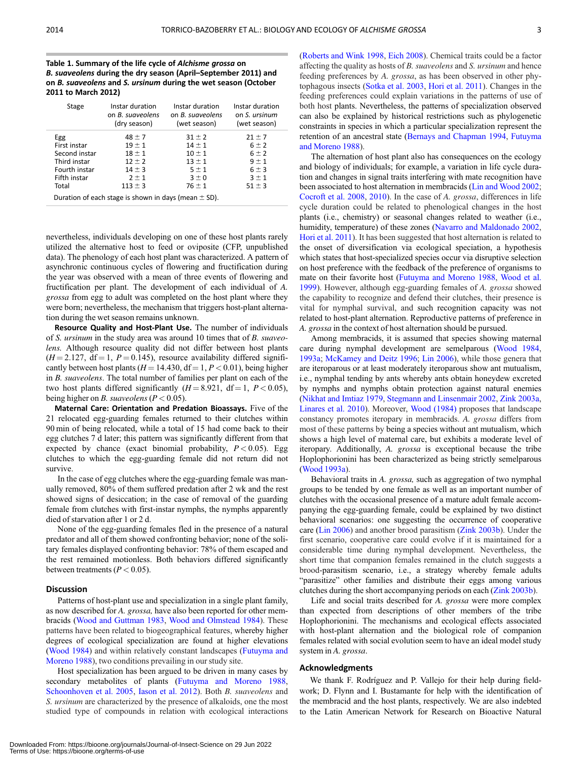<span id="page-3-0"></span>Table 1. Summary of the life cycle of Alchisme grossa on B. suaveolens during the dry season (April–September 2011) and on B. suaveolens and S. ursinum during the wet season (October 2011 to March 2012)

| Stage                                                    | Instar duration<br>on B. sugveolens<br>(dry season) | Instar duration<br>on B. suaveolens<br>(wet season) | Instar duration<br>on S. ursinum<br>(wet season) |
|----------------------------------------------------------|-----------------------------------------------------|-----------------------------------------------------|--------------------------------------------------|
| Egg                                                      | $48 \pm 7$                                          | $31 \pm 2$                                          | $21 \pm 7$                                       |
| First instar                                             | $19 \pm 1$                                          | $14 \pm 1$                                          | $6 \pm 2$                                        |
| Second instar                                            | $18 \pm 1$                                          | $10 \pm 1$                                          | $6 \pm 2$                                        |
| Third instar                                             | $12 \pm 2$                                          | $13 \pm 1$                                          | $9 \pm 1$                                        |
| Fourth instar                                            | $14 \pm 3$                                          | $5 \pm 1$                                           | 6 ± 3                                            |
| Fifth instar                                             | $2 \pm 1$                                           | $3 \pm 0$                                           | $3 \pm 1$                                        |
| Total                                                    | $113 \pm 3$                                         | $76 \pm 1$                                          | $51 \pm 3$                                       |
| Duration of each stage is shown in days (mean $\pm$ SD). |                                                     |                                                     |                                                  |

nevertheless, individuals developing on one of these host plants rarely utilized the alternative host to feed or oviposite (CFP, unpublished data). The phenology of each host plant was characterized. A pattern of asynchronic continuous cycles of flowering and fructification during the year was observed with a mean of three events of flowering and fructification per plant. The development of each individual of A. grossa from egg to adult was completed on the host plant where they were born; nevertheless, the mechanism that triggers host-plant alternation during the wet season remains unknown.

Resource Quality and Host-Plant Use. The number of individuals of S. ursinum in the study area was around 10 times that of B. suaveolens. Although resource quality did not differ between host plants  $(H = 2.127, df = 1, P = 0.145)$ , resource availability differed significantly between host plants ( $H = 14.430$ ,  $df = 1, P < 0.01$ ), being higher in B. suaveolens. The total number of families per plant on each of the two host plants differed significantly  $(H = 8.921, df = 1, P < 0.05)$ , being higher on *B. suaveolens* ( $P < 0.05$ ).

Maternal Care: Orientation and Predation Bioassays. Five of the 21 relocated egg-guarding females returned to their clutches within 90 min of being relocated, while a total of 15 had come back to their egg clutches 7 d later; this pattern was significantly different from that expected by chance (exact binomial probability,  $P < 0.05$ ). Egg clutches to which the egg-guarding female did not return did not survive.

In the case of egg clutches where the egg-guarding female was manually removed, 80% of them suffered predation after 2 wk and the rest showed signs of desiccation; in the case of removal of the guarding female from clutches with first-instar nymphs, the nymphs apparently died of starvation after 1 or 2 d.

None of the egg-guarding females fled in the presence of a natural predator and all of them showed confronting behavior; none of the solitary females displayed confronting behavior: 78% of them escaped and the rest remained motionless. Both behaviors differed significantly between treatments ( $P < 0.05$ ).

#### Discussion

Patterns of host-plant use and specialization in a single plant family, as now described for A. *grossa*, have also been reported for other membracids [\(Wood and Guttman 1983](#page-4-0), [Wood and Olmstead 1984\)](#page-4-0). These patterns have been related to biogeographical features, whereby higher degrees of ecological specialization are found at higher elevations ([Wood 1984\)](#page-4-0) and within relatively constant landscapes ([Futuyma and](#page-4-0) [Moreno 1988](#page-4-0)), two conditions prevailing in our study site.

Host specialization has been argued to be driven in many cases by secondary metabolites of plants [\(Futuyma and Moreno 1988,](#page-4-0) [Schoonhoven et al. 2005,](#page-4-0) [Iason et al. 2012\)](#page-4-0). Both B. suaveolens and S. ursinum are characterized by the presence of alkaloids, one the most studied type of compounds in relation with ecological interactions

([Roberts and Wink 1998,](#page-4-0) [Eich 2008\)](#page-4-0). Chemical traits could be a factor affecting the quality as hosts of B. suaveolens and S. ursinum and hence feeding preferences by A. grossa, as has been observed in other phytophagous insects ([Sotka et al. 2003,](#page-4-0) [Hori et al. 2011\)](#page-4-0). Changes in the feeding preferences could explain variations in the patterns of use of both host plants. Nevertheless, the patterns of specialization observed can also be explained by historical restrictions such as phylogenetic constraints in species in which a particular specialization represent the retention of an ancestral state [\(Bernays and Chapman 1994](#page-4-0), [Futuyma](#page-4-0) [and Moreno 1988\)](#page-4-0).

The alternation of host plant also has consequences on the ecology and biology of individuals; for example, a variation in life cycle duration and changes in signal traits interfering with mate recognition have been associated to host alternation in membracids [\(Lin and Wood 2002;](#page-4-0) [Cocroft et al. 2008,](#page-4-0) [2010\)](#page-4-0). In the case of A. grossa, differences in life cycle duration could be related to phenological changes in the host plants (i.e., chemistry) or seasonal changes related to weather (i.e., humidity, temperature) of these zones [\(Navarro and Maldonado 2002,](#page-4-0) [Hori et al. 2011\)](#page-4-0). It has been suggested that host alternation is related to the onset of diversification via ecological speciation, a hypothesis which states that host-specialized species occur via disruptive selection on host preference with the feedback of the preference of organisms to mate on their favorite host ([Futuyma and Moreno 1988](#page-4-0), [Wood et al.](#page-4-0) [1999](#page-4-0)). However, although egg-guarding females of A. grossa showed the capability to recognize and defend their clutches, their presence is vital for nymphal survival, and such recognition capacity was not related to host-plant alternation. Reproductive patterns of preference in A. grossa in the context of host alternation should be pursued.

Among membracids, it is assumed that species showing maternal care during nymphal development are semelparous [\(Wood 1984,](#page-4-0) [1993a;](#page-4-0) [McKamey and Deitz 1996;](#page-4-0) [Lin 2006\)](#page-4-0), while those genera that are iteroparous or at least moderately iteroparous show ant mutualism, i.e., nymphal tending by ants whereby ants obtain honeydew excreted by nymphs and nymphs obtain protection against natural enemies ([Nikhat and Imtiaz 1979,](#page-4-0) [Stegmann and Linsenmair 2002,](#page-4-0) [Zink 2003a,](#page-4-0) [Linares et al. 2010\)](#page-4-0). Moreover, [Wood \(1984\)](#page-4-0) proposes that landscape constancy promotes iteropary in membracids. A. grossa differs from most of these patterns by being a species without ant mutualism, which shows a high level of maternal care, but exhibits a moderate level of iteropary. Additionally, A. grossa is exceptional because the tribe Hoplophorionini has been characterized as being strictly semelparous ([Wood 1993a\)](#page-4-0).

Behavioral traits in A. *grossa*, such as aggregation of two nymphal groups to be tended by one female as well as an important number of clutches with the occasional presence of a mature adult female accompanying the egg-guarding female, could be explained by two distinct behavioral scenarios: one suggesting the occurrence of cooperative care ([Lin 2006\)](#page-4-0) and another brood parasitism [\(Zink 2003b\)](#page-4-0). Under the first scenario, cooperative care could evolve if it is maintained for a considerable time during nymphal development. Nevertheless, the short time that companion females remained in the clutch suggests a brood-parasitism scenario, i.e., a strategy whereby female adults "parasitize" other families and distribute their eggs among various clutches during the short accompanying periods on each ([Zink 2003b](#page-4-0)).

Life and social traits described for A. grossa were more complex than expected from descriptions of other members of the tribe Hoplophorionini. The mechanisms and ecological effects associated with host-plant alternation and the biological role of companion females related with social evolution seem to have an ideal model study system in A. grossa.

#### Acknowledgments

We thank F. Rodríguez and P. Vallejo for their help during fieldwork; D. Flynn and I. Bustamante for help with the identification of the membracid and the host plants, respectively. We are also indebted to the Latin American Network for Research on Bioactive Natural